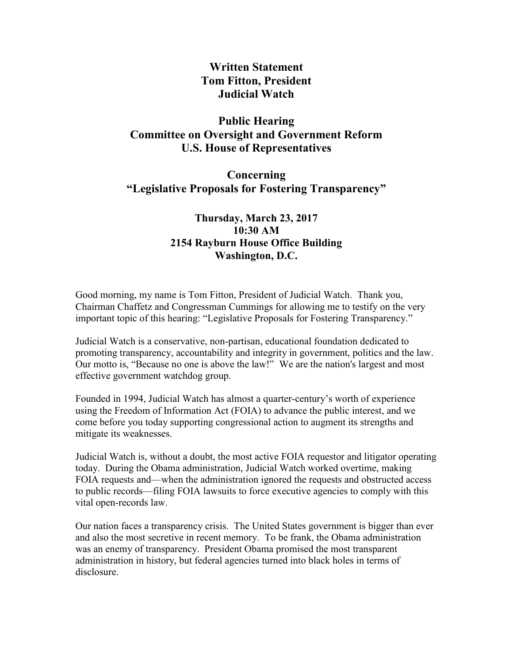**Written Statement Tom Fitton, President Judicial Watch**

## **Public Hearing Committee on Oversight and Government Reform U.S. House of Representatives**

**Concerning "Legislative Proposals for Fostering Transparency"**

## **Thursday, March 23, 2017 10:30 AM 2154 Rayburn House Office Building Washington, D.C.**

Good morning, my name is Tom Fitton, President of Judicial Watch. Thank you, Chairman Chaffetz and Congressman Cummings for allowing me to testify on the very important topic of this hearing: "Legislative Proposals for Fostering Transparency."

Judicial Watch is a conservative, non-partisan, educational foundation dedicated to promoting transparency, accountability and integrity in government, politics and the law. Our motto is, "Because no one is above the law!" We are the nation's largest and most effective government watchdog group.

Founded in 1994, Judicial Watch has almost a quarter-century's worth of experience using the Freedom of Information Act (FOIA) to advance the public interest, and we come before you today supporting congressional action to augment its strengths and mitigate its weaknesses.

Judicial Watch is, without a doubt, the most active FOIA requestor and litigator operating today. During the Obama administration, Judicial Watch worked overtime, making FOIA requests and—when the administration ignored the requests and obstructed access to public records—filing FOIA lawsuits to force executive agencies to comply with this vital open-records law.

Our nation faces a transparency crisis. The United States government is bigger than ever and also the most secretive in recent memory. To be frank, the Obama administration was an enemy of transparency. President Obama promised the most transparent administration in history, but federal agencies turned into black holes in terms of disclosure.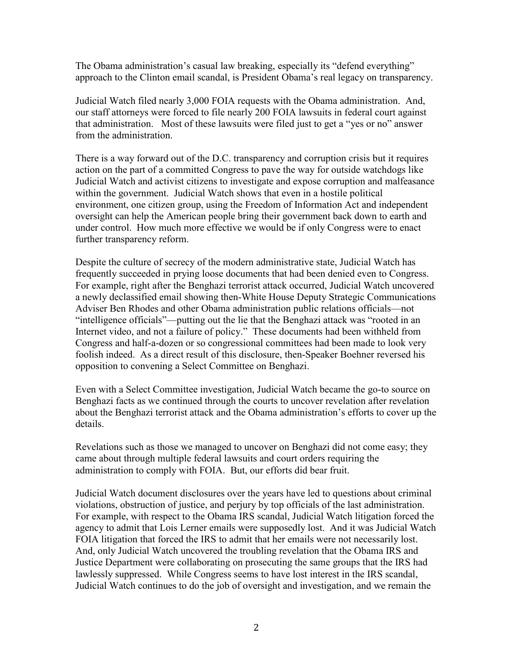The Obama administration's casual law breaking, especially its "defend everything" approach to the Clinton email scandal, is President Obama's real legacy on transparency.

Judicial Watch filed nearly 3,000 FOIA requests with the Obama administration. And, our staff attorneys were forced to file nearly 200 FOIA lawsuits in federal court against that administration. Most of these lawsuits were filed just to get a "yes or no" answer from the administration.

There is a way forward out of the D.C. transparency and corruption crisis but it requires action on the part of a committed Congress to pave the way for outside watchdogs like Judicial Watch and activist citizens to investigate and expose corruption and malfeasance within the government. Judicial Watch shows that even in a hostile political environment, one citizen group, using the Freedom of Information Act and independent oversight can help the American people bring their government back down to earth and under control. How much more effective we would be if only Congress were to enact further transparency reform.

Despite the culture of secrecy of the modern administrative state, Judicial Watch has frequently succeeded in prying loose documents that had been denied even to Congress. For example, right after the Benghazi terrorist attack occurred, Judicial Watch uncovered a newly declassified email showing then-White House Deputy Strategic Communications Adviser Ben Rhodes and other Obama administration public relations officials—not "intelligence officials"—putting out the lie that the Benghazi attack was "rooted in an Internet video, and not a failure of policy." These documents had been withheld from Congress and half-a-dozen or so congressional committees had been made to look very foolish indeed. As a direct result of this disclosure, then-Speaker Boehner reversed his opposition to convening a Select Committee on Benghazi.

Even with a Select Committee investigation, Judicial Watch became the go-to source on Benghazi facts as we continued through the courts to uncover revelation after revelation about the Benghazi terrorist attack and the Obama administration's efforts to cover up the details.

Revelations such as those we managed to uncover on Benghazi did not come easy; they came about through multiple federal lawsuits and court orders requiring the administration to comply with FOIA. But, our efforts did bear fruit.

Judicial Watch document disclosures over the years have led to questions about criminal violations, obstruction of justice, and perjury by top officials of the last administration. For example, with respect to the Obama IRS scandal, Judicial Watch litigation forced the agency to admit that Lois Lerner emails were supposedly lost. And it was Judicial Watch FOIA litigation that forced the IRS to admit that her emails were not necessarily lost. And, only Judicial Watch uncovered the troubling revelation that the Obama IRS and Justice Department were collaborating on prosecuting the same groups that the IRS had lawlessly suppressed. While Congress seems to have lost interest in the IRS scandal, Judicial Watch continues to do the job of oversight and investigation, and we remain the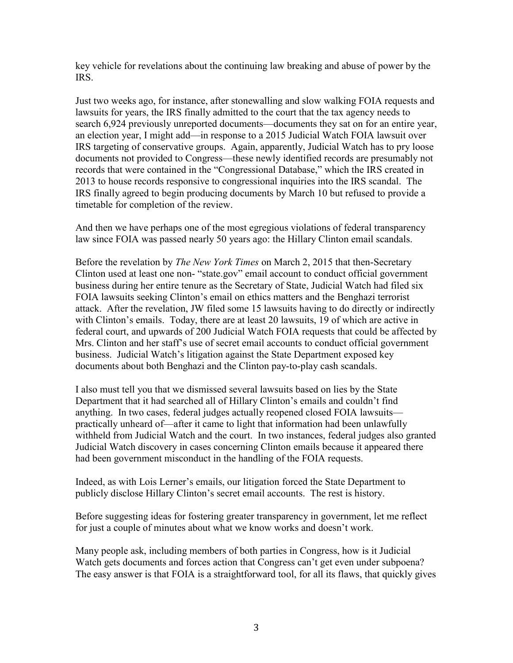key vehicle for revelations about the continuing law breaking and abuse of power by the IRS.

Just two weeks ago, for instance, after stonewalling and slow walking FOIA requests and lawsuits for years, the IRS finally admitted to the court that the tax agency needs to search 6,924 previously unreported documents—documents they sat on for an entire year, an election year, I might add—in response to a 2015 Judicial Watch FOIA lawsuit over IRS targeting of conservative groups. Again, apparently, Judicial Watch has to pry loose documents not provided to Congress—these newly identified records are presumably not records that were contained in the "Congressional Database," which the IRS created in 2013 to house records responsive to congressional inquiries into the IRS scandal. The IRS finally agreed to begin producing documents by March 10 but refused to provide a timetable for completion of the review.

And then we have perhaps one of the most egregious violations of federal transparency law since FOIA was passed nearly 50 years ago: the Hillary Clinton email scandals.

Before the revelation by *The New York Times* on March 2, 2015 that then-Secretary Clinton used at least one non- "state.gov" email account to conduct official government business during her entire tenure as the Secretary of State, Judicial Watch had filed six FOIA lawsuits seeking Clinton's email on ethics matters and the Benghazi terrorist attack. After the revelation, JW filed some 15 lawsuits having to do directly or indirectly with Clinton's emails. Today, there are at least 20 lawsuits, 19 of which are active in federal court, and upwards of 200 Judicial Watch FOIA requests that could be affected by Mrs. Clinton and her staff's use of secret email accounts to conduct official government business. Judicial Watch's litigation against the State Department exposed key documents about both Benghazi and the Clinton pay-to-play cash scandals.

I also must tell you that we dismissed several lawsuits based on lies by the State Department that it had searched all of Hillary Clinton's emails and couldn't find anything. In two cases, federal judges actually reopened closed FOIA lawsuits practically unheard of—after it came to light that information had been unlawfully withheld from Judicial Watch and the court. In two instances, federal judges also granted Judicial Watch discovery in cases concerning Clinton emails because it appeared there had been government misconduct in the handling of the FOIA requests.

Indeed, as with Lois Lerner's emails, our litigation forced the State Department to publicly disclose Hillary Clinton's secret email accounts. The rest is history.

Before suggesting ideas for fostering greater transparency in government, let me reflect for just a couple of minutes about what we know works and doesn't work.

Many people ask, including members of both parties in Congress, how is it Judicial Watch gets documents and forces action that Congress can't get even under subpoena? The easy answer is that FOIA is a straightforward tool, for all its flaws, that quickly gives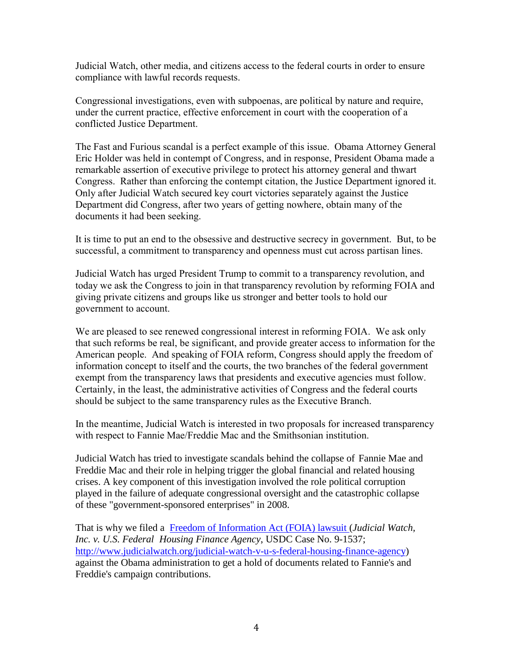Judicial Watch, other media, and citizens access to the federal courts in order to ensure compliance with lawful records requests.

Congressional investigations, even with subpoenas, are political by nature and require, under the current practice, effective enforcement in court with the cooperation of a conflicted Justice Department.

The Fast and Furious scandal is a perfect example of this issue. Obama Attorney General Eric Holder was held in contempt of Congress, and in response, President Obama made a remarkable assertion of executive privilege to protect his attorney general and thwart Congress. Rather than enforcing the contempt citation, the Justice Department ignored it. Only after Judicial Watch secured key court victories separately against the Justice Department did Congress, after two years of getting nowhere, obtain many of the documents it had been seeking.

It is time to put an end to the obsessive and destructive secrecy in government. But, to be successful, a commitment to transparency and openness must cut across partisan lines.

Judicial Watch has urged President Trump to commit to a transparency revolution, and today we ask the Congress to join in that transparency revolution by reforming FOIA and giving private citizens and groups like us stronger and better tools to hold our government to account.

We are pleased to see renewed congressional interest in reforming FOIA. We ask only that such reforms be real, be significant, and provide greater access to information for the American people. And speaking of FOIA reform, Congress should apply the freedom of information concept to itself and the courts, the two branches of the federal government exempt from the transparency laws that presidents and executive agencies must follow. Certainly, in the least, the administrative activities of Congress and the federal courts should be subject to the same transparency rules as the Executive Branch.

In the meantime, Judicial Watch is interested in two proposals for increased transparency with respect to Fannie Mae/Freddie Mac and the Smithsonian institution.

Judicial Watch has tried to investigate scandals behind the collapse of Fannie Mae and Freddie Mac and their role in helping trigger the global financial and related housing crises. A key component of this investigation involved the role political corruption played in the failure of adequate congressional oversight and the catastrophic collapse of these "government-sponsored enterprises" in 2008.

That is why we filed a Freedom of [Information](http://www.judicialwatch.org/judicial-watch-v-u-s-federal-housing-finance-agency) Act (FOIA) lawsuit (*Judicial Watch, Inc. v. U.S. Federal Housing Finance Agency*, USDC Case No. 9-1537; <http://www.judicialwatch.org/>judicial-watch-v-u-s-federal-housing-finance-agency) against the Obama administration to get a hold of documents related to Fannie's and Freddie's campaign contributions.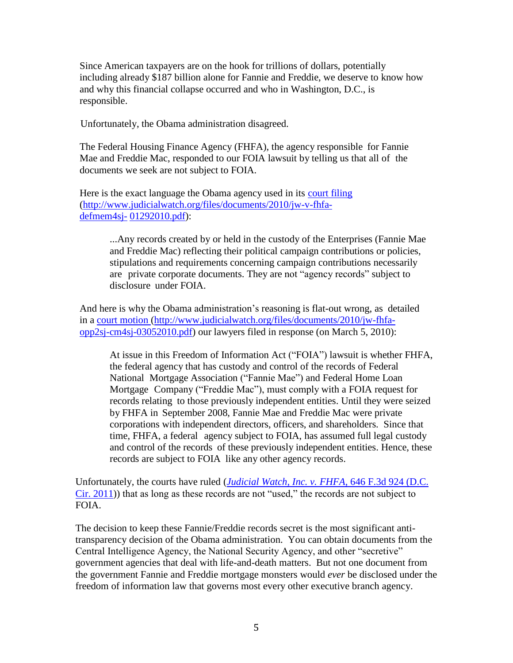Since American taxpayers are on the hook for trillions of dollars, potentially including already \$187 billion alone for Fannie and Freddie, we deserve to know how and why this financial collapse occurred and who in Washington, D.C., is responsible.

Unfortunately, the Obama administration disagreed.

The Federal Housing Finance Agency (FHFA), the agency responsible for Fannie Mae and Freddie Mac, responded to our FOIA lawsuit by telling us that all of the documents we seek are not subject to FOIA.

Here is the exact language the Obama agency used in its court filing [\(http://www.judicialwatch.org/files/documents/2010/jw-v-fhfa](http://www.judicialwatch.org/files/documents/2010/jw-v-fhfa-defmem4sj-)[defmem4sj-](http://www.judicialwatch.org/files/documents/2010/jw-v-fhfa-defmem4sj-) [01292010.pdf\)](http://www.judicialwatch.org/files/documents/2010/jw-v-fhfa-defmem4sj-01292010.pdf):

> ...Any records created by or held in the custody of the Enterprises (Fannie Mae and Freddie Mac) reflecting their political campaign contributions or policies, stipulations and requirements concerning campaign contributions necessarily are private corporate documents. They are not "agency records" subject to disclosure under FOIA.

And here is why the Obama administration's reasoning is flat-out wrong, as detailed in a court [motion](http://www.judicialwatch.org/files/documents/2010/jw-fhfa-opp2sj-cm4sj-03052010.pdf) [\(http://www.judicialwatch.org/files/documents/2010/jw-fhfa](http://www.judicialwatch.org/files/documents/2010/jw-fhfa-opp2sj-cm4sj-03052010.pdf)[opp2sj-cm4sj-03052010.pdf\)](http://www.judicialwatch.org/files/documents/2010/jw-fhfa-opp2sj-cm4sj-03052010.pdf) our lawyers filed in response (on March 5, 2010):

At issue in this Freedom of Information Act ("FOIA") lawsuit is whether FHFA, the federal agency that has custody and control of the records of Federal National Mortgage Association ("Fannie Mae") and Federal Home Loan Mortgage Company ("Freddie Mac"), must comply with a FOIA request for records relating to those previously independent entities. Until they were seized by FHFA in September 2008, Fannie Mae and Freddie Mac were private corporations with independent directors, officers, and shareholders. Since that time, FHFA, a federal agency subject to FOIA, has assumed full legal custody and control of the records of these previously independent entities. Hence, these records are subject to FOIA like any other agency records.

Unfortunately, the courts have ruled (*[Judicial Watch, Inc. v. FHFA](https://scholar.google.com/scholar_case?case=13864300569461298545&q=fannie+mae+foia&hl=en&as_sdt=20003)*, 646 F.3d 924 (D.C. [Cir. 2011\)](https://scholar.google.com/scholar_case?case=13864300569461298545&q=fannie+mae+foia&hl=en&as_sdt=20003)) that as long as these records are not "used," the records are not subject to FOIA.

The decision to keep these Fannie/Freddie records secret is the most significant antitransparency decision of the Obama administration. You can obtain documents from the Central Intelligence Agency, the National Security Agency, and other "secretive" government agencies that deal with life-and-death matters. But not one document from the government Fannie and Freddie mortgage monsters would *ever* be disclosed under the freedom of information law that governs most every other executive branch agency.